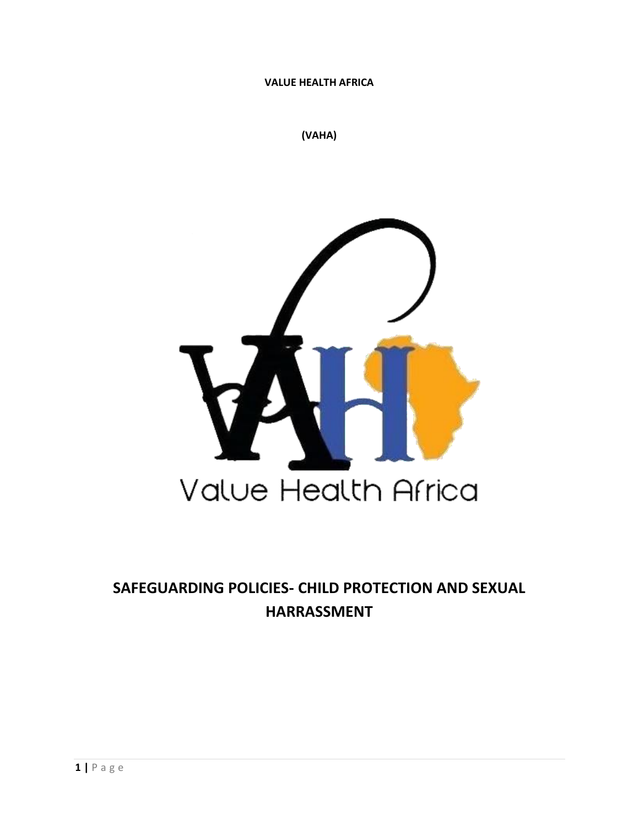**VALUE HEALTH AFRICA**

**(VAHA)**



# **SAFEGUARDING POLICIES- CHILD PROTECTION AND SEXUAL HARRASSMENT**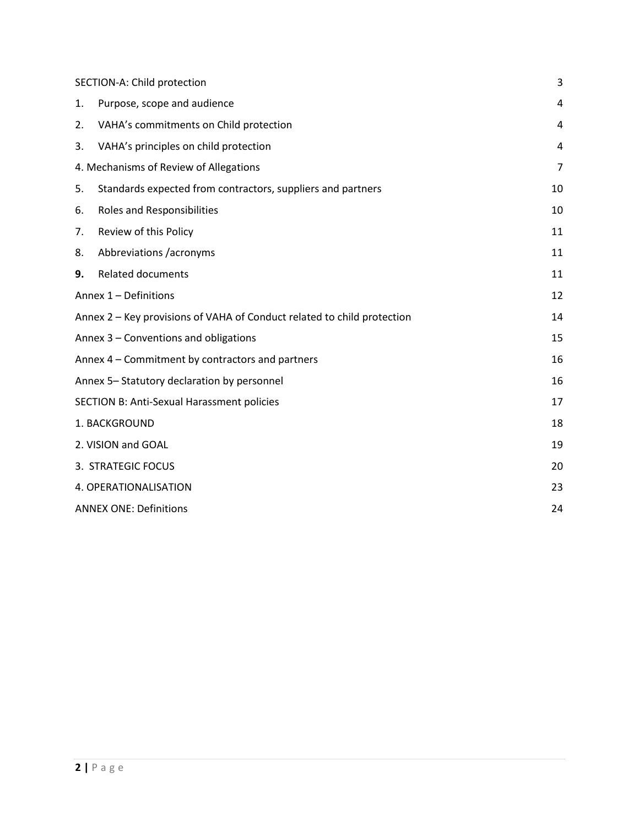<span id="page-1-0"></span>

| SECTION-A: Child protection                      | 3                                                                       |                |
|--------------------------------------------------|-------------------------------------------------------------------------|----------------|
| 1.                                               | Purpose, scope and audience                                             | 4              |
| 2.                                               | VAHA's commitments on Child protection                                  | 4              |
| 3.                                               | VAHA's principles on child protection                                   | 4              |
|                                                  | 4. Mechanisms of Review of Allegations                                  | $\overline{7}$ |
| 5.                                               | Standards expected from contractors, suppliers and partners             | 10             |
| 6.                                               | <b>Roles and Responsibilities</b>                                       | 10             |
| 7.                                               | Review of this Policy                                                   | 11             |
| 8.                                               | Abbreviations /acronyms                                                 | 11             |
| 9.                                               | <b>Related documents</b>                                                | 11             |
|                                                  | Annex 1 - Definitions                                                   | 12             |
|                                                  | Annex 2 – Key provisions of VAHA of Conduct related to child protection | 14             |
| Annex 3 – Conventions and obligations            |                                                                         |                |
| Annex 4 - Commitment by contractors and partners |                                                                         | 16             |
|                                                  | Annex 5-Statutory declaration by personnel                              | 16             |
| SECTION B: Anti-Sexual Harassment policies       |                                                                         | 17             |
| 1. BACKGROUND                                    | 18                                                                      |                |
| 2. VISION and GOAL                               |                                                                         | 19             |
|                                                  | 3. STRATEGIC FOCUS                                                      | 20             |
|                                                  | 4. OPERATIONALISATION                                                   | 23             |
| <b>ANNEX ONE: Definitions</b>                    | 24                                                                      |                |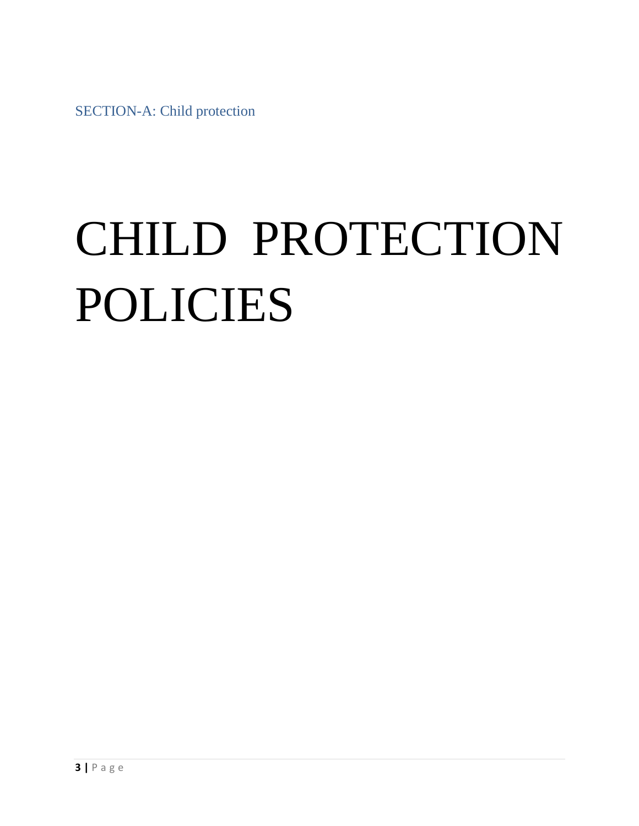SECTION-A: Child protection

# CHILD PROTECTION POLICIES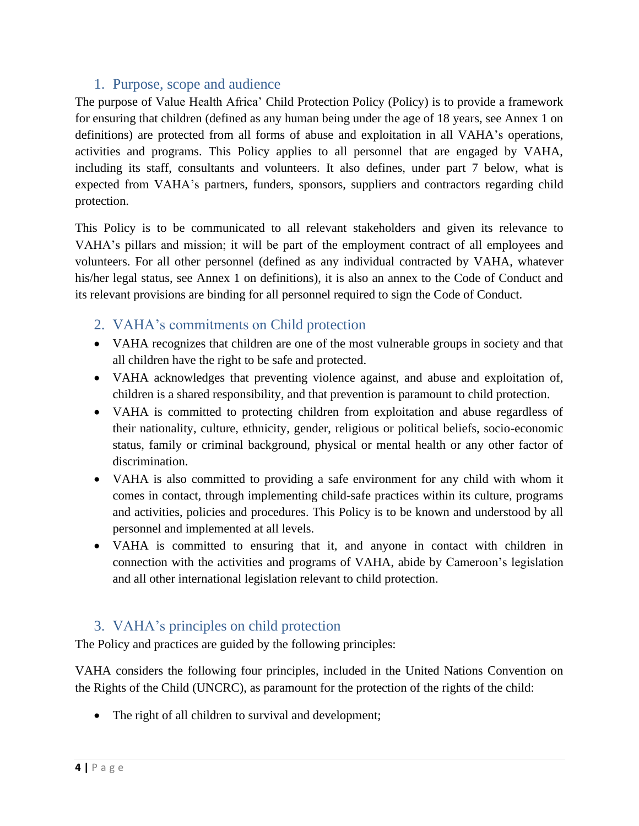# 1. Purpose, scope and audience

<span id="page-3-0"></span>The purpose of Value Health Africa' Child Protection Policy (Policy) is to provide a framework for ensuring that children (defined as any human being under the age of 18 years, see Annex 1 on definitions) are protected from all forms of abuse and exploitation in all VAHA's operations, activities and programs. This Policy applies to all personnel that are engaged by VAHA, including its staff, consultants and volunteers. It also defines, under part 7 below, what is expected from VAHA's partners, funders, sponsors, suppliers and contractors regarding child protection.

This Policy is to be communicated to all relevant stakeholders and given its relevance to VAHA's pillars and mission; it will be part of the employment contract of all employees and volunteers. For all other personnel (defined as any individual contracted by VAHA, whatever his/her legal status, see Annex 1 on definitions), it is also an annex to the Code of Conduct and its relevant provisions are binding for all personnel required to sign the Code of Conduct.

# <span id="page-3-1"></span>2. VAHA's commitments on Child protection

- VAHA recognizes that children are one of the most vulnerable groups in society and that all children have the right to be safe and protected.
- VAHA acknowledges that preventing violence against, and abuse and exploitation of, children is a shared responsibility, and that prevention is paramount to child protection.
- VAHA is committed to protecting children from exploitation and abuse regardless of their nationality, culture, ethnicity, gender, religious or political beliefs, socio-economic status, family or criminal background, physical or mental health or any other factor of discrimination.
- VAHA is also committed to providing a safe environment for any child with whom it comes in contact, through implementing child-safe practices within its culture, programs and activities, policies and procedures. This Policy is to be known and understood by all personnel and implemented at all levels.
- VAHA is committed to ensuring that it, and anyone in contact with children in connection with the activities and programs of VAHA, abide by Cameroon's legislation and all other international legislation relevant to child protection.

# <span id="page-3-2"></span>3. VAHA's principles on child protection

The Policy and practices are guided by the following principles:

VAHA considers the following four principles, included in the United Nations Convention on the Rights of the Child (UNCRC), as paramount for the protection of the rights of the child:

• The right of all children to survival and development;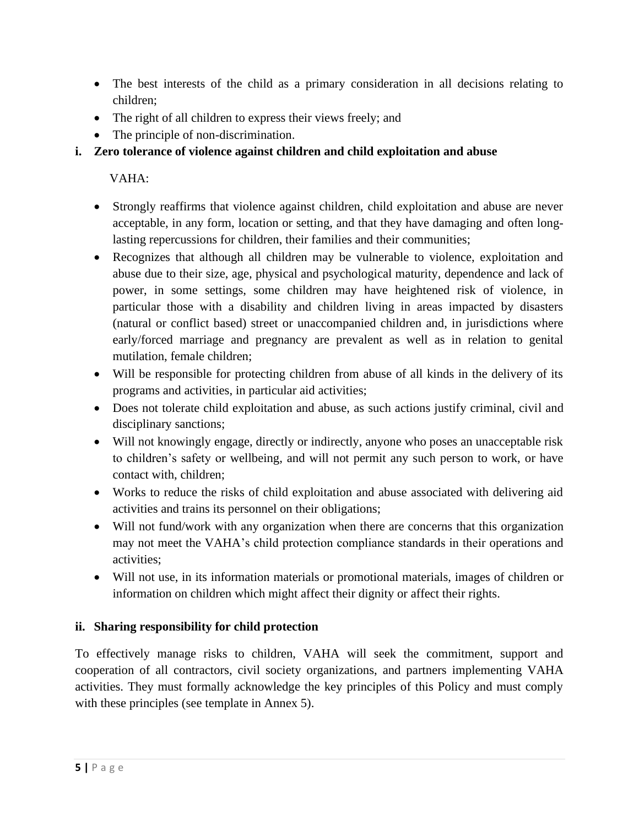- The best interests of the child as a primary consideration in all decisions relating to children;
- The right of all children to express their views freely; and
- The principle of non-discrimination.
- **i. Zero tolerance of violence against children and child exploitation and abuse**

VAHA:

- Strongly reaffirms that violence against children, child exploitation and abuse are never acceptable, in any form, location or setting, and that they have damaging and often longlasting repercussions for children, their families and their communities;
- Recognizes that although all children may be vulnerable to violence, exploitation and abuse due to their size, age, physical and psychological maturity, dependence and lack of power, in some settings, some children may have heightened risk of violence, in particular those with a disability and children living in areas impacted by disasters (natural or conflict based) street or unaccompanied children and, in jurisdictions where early/forced marriage and pregnancy are prevalent as well as in relation to genital mutilation, female children;
- Will be responsible for protecting children from abuse of all kinds in the delivery of its programs and activities, in particular aid activities;
- Does not tolerate child exploitation and abuse, as such actions justify criminal, civil and disciplinary sanctions;
- Will not knowingly engage, directly or indirectly, anyone who poses an unacceptable risk to children's safety or wellbeing, and will not permit any such person to work, or have contact with, children;
- Works to reduce the risks of child exploitation and abuse associated with delivering aid activities and trains its personnel on their obligations;
- Will not fund/work with any organization when there are concerns that this organization may not meet the VAHA's child protection compliance standards in their operations and activities;
- Will not use, in its information materials or promotional materials, images of children or information on children which might affect their dignity or affect their rights.

# **ii. Sharing responsibility for child protection**

To effectively manage risks to children, VAHA will seek the commitment, support and cooperation of all contractors, civil society organizations, and partners implementing VAHA activities. They must formally acknowledge the key principles of this Policy and must comply with these principles (see template in Annex 5).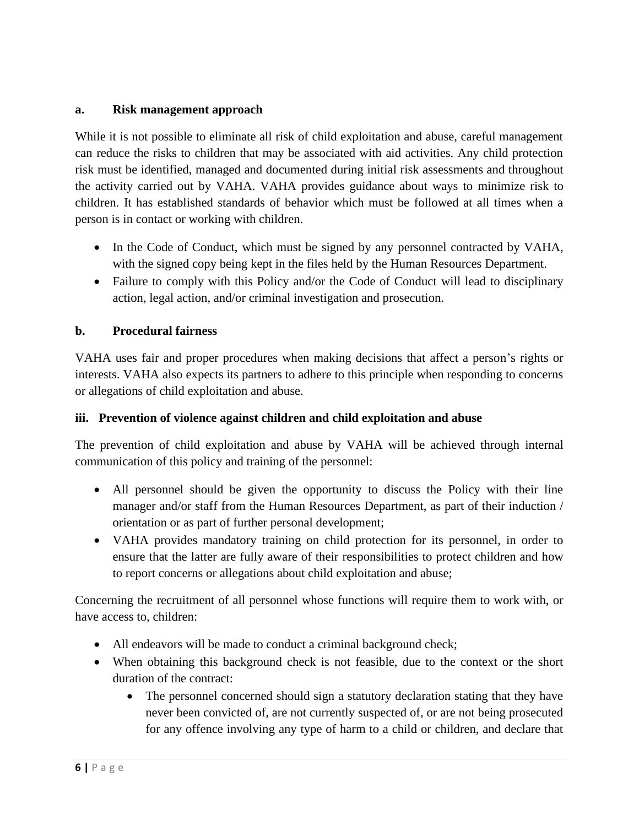#### **a. Risk management approach**

While it is not possible to eliminate all risk of child exploitation and abuse, careful management can reduce the risks to children that may be associated with aid activities. Any child protection risk must be identified, managed and documented during initial risk assessments and throughout the activity carried out by VAHA. VAHA provides guidance about ways to minimize risk to children. It has established standards of behavior which must be followed at all times when a person is in contact or working with children.

- In the Code of Conduct, which must be signed by any personnel contracted by VAHA, with the signed copy being kept in the files held by the Human Resources Department.
- Failure to comply with this Policy and/or the Code of Conduct will lead to disciplinary action, legal action, and/or criminal investigation and prosecution.

#### **b. Procedural fairness**

VAHA uses fair and proper procedures when making decisions that affect a person's rights or interests. VAHA also expects its partners to adhere to this principle when responding to concerns or allegations of child exploitation and abuse.

#### **iii. Prevention of violence against children and child exploitation and abuse**

The prevention of child exploitation and abuse by VAHA will be achieved through internal communication of this policy and training of the personnel:

- All personnel should be given the opportunity to discuss the Policy with their line manager and/or staff from the Human Resources Department, as part of their induction / orientation or as part of further personal development;
- VAHA provides mandatory training on child protection for its personnel, in order to ensure that the latter are fully aware of their responsibilities to protect children and how to report concerns or allegations about child exploitation and abuse;

Concerning the recruitment of all personnel whose functions will require them to work with, or have access to, children:

- All endeavors will be made to conduct a criminal background check;
- When obtaining this background check is not feasible, due to the context or the short duration of the contract:
	- The personnel concerned should sign a statutory declaration stating that they have never been convicted of, are not currently suspected of, or are not being prosecuted for any offence involving any type of harm to a child or children, and declare that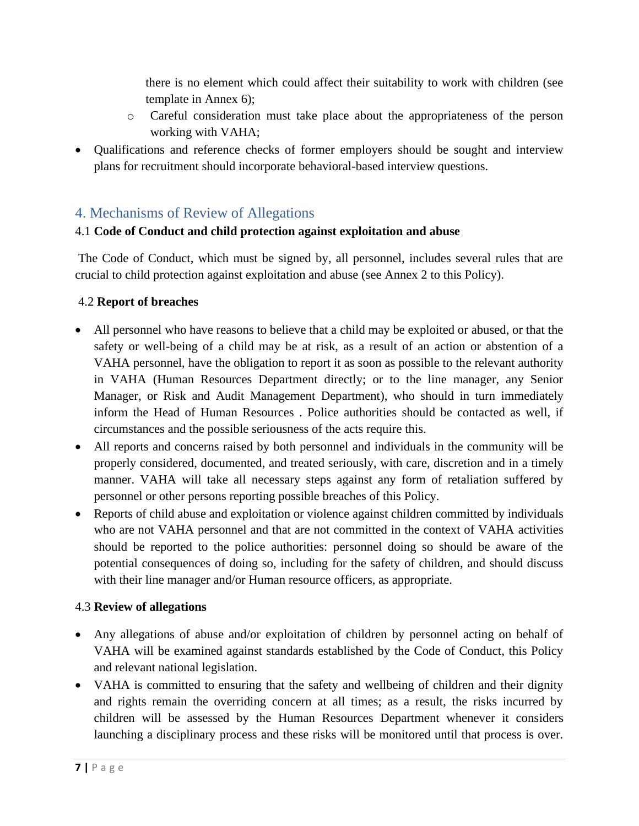there is no element which could affect their suitability to work with children (see template in Annex 6);

- o Careful consideration must take place about the appropriateness of the person working with VAHA;
- Qualifications and reference checks of former employers should be sought and interview plans for recruitment should incorporate behavioral-based interview questions.

# <span id="page-6-0"></span>4. Mechanisms of Review of Allegations

### 4.1 **Code of Conduct and child protection against exploitation and abuse**

The Code of Conduct, which must be signed by, all personnel, includes several rules that are crucial to child protection against exploitation and abuse (see Annex 2 to this Policy).

### 4.2 **Report of breaches**

- All personnel who have reasons to believe that a child may be exploited or abused, or that the safety or well-being of a child may be at risk, as a result of an action or abstention of a VAHA personnel, have the obligation to report it as soon as possible to the relevant authority in VAHA (Human Resources Department directly; or to the line manager, any Senior Manager, or Risk and Audit Management Department), who should in turn immediately inform the Head of Human Resources . Police authorities should be contacted as well, if circumstances and the possible seriousness of the acts require this.
- All reports and concerns raised by both personnel and individuals in the community will be properly considered, documented, and treated seriously, with care, discretion and in a timely manner. VAHA will take all necessary steps against any form of retaliation suffered by personnel or other persons reporting possible breaches of this Policy.
- Reports of child abuse and exploitation or violence against children committed by individuals who are not VAHA personnel and that are not committed in the context of VAHA activities should be reported to the police authorities: personnel doing so should be aware of the potential consequences of doing so, including for the safety of children, and should discuss with their line manager and/or Human resource officers, as appropriate.

### 4.3 **Review of allegations**

- Any allegations of abuse and/or exploitation of children by personnel acting on behalf of VAHA will be examined against standards established by the Code of Conduct, this Policy and relevant national legislation.
- VAHA is committed to ensuring that the safety and wellbeing of children and their dignity and rights remain the overriding concern at all times; as a result, the risks incurred by children will be assessed by the Human Resources Department whenever it considers launching a disciplinary process and these risks will be monitored until that process is over.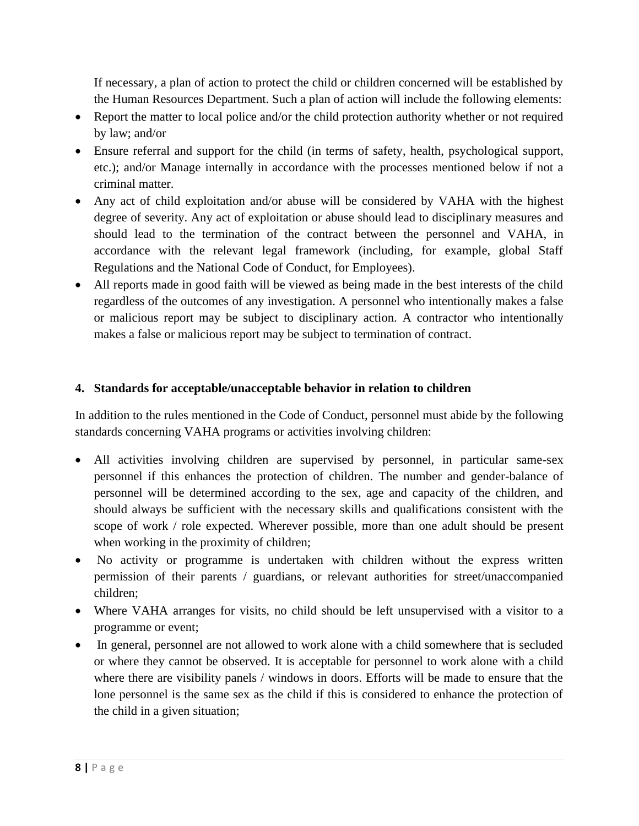If necessary, a plan of action to protect the child or children concerned will be established by the Human Resources Department. Such a plan of action will include the following elements:

- Report the matter to local police and/or the child protection authority whether or not required by law; and/or
- Ensure referral and support for the child (in terms of safety, health, psychological support, etc.); and/or Manage internally in accordance with the processes mentioned below if not a criminal matter.
- Any act of child exploitation and/or abuse will be considered by VAHA with the highest degree of severity. Any act of exploitation or abuse should lead to disciplinary measures and should lead to the termination of the contract between the personnel and VAHA, in accordance with the relevant legal framework (including, for example, global Staff Regulations and the National Code of Conduct, for Employees).
- All reports made in good faith will be viewed as being made in the best interests of the child regardless of the outcomes of any investigation. A personnel who intentionally makes a false or malicious report may be subject to disciplinary action. A contractor who intentionally makes a false or malicious report may be subject to termination of contract.

#### **4. Standards for acceptable/unacceptable behavior in relation to children**

In addition to the rules mentioned in the Code of Conduct, personnel must abide by the following standards concerning VAHA programs or activities involving children:

- All activities involving children are supervised by personnel, in particular same-sex personnel if this enhances the protection of children. The number and gender-balance of personnel will be determined according to the sex, age and capacity of the children, and should always be sufficient with the necessary skills and qualifications consistent with the scope of work / role expected. Wherever possible, more than one adult should be present when working in the proximity of children;
- No activity or programme is undertaken with children without the express written permission of their parents / guardians, or relevant authorities for street/unaccompanied children;
- Where VAHA arranges for visits, no child should be left unsupervised with a visitor to a programme or event;
- In general, personnel are not allowed to work alone with a child somewhere that is secluded or where they cannot be observed. It is acceptable for personnel to work alone with a child where there are visibility panels / windows in doors. Efforts will be made to ensure that the lone personnel is the same sex as the child if this is considered to enhance the protection of the child in a given situation;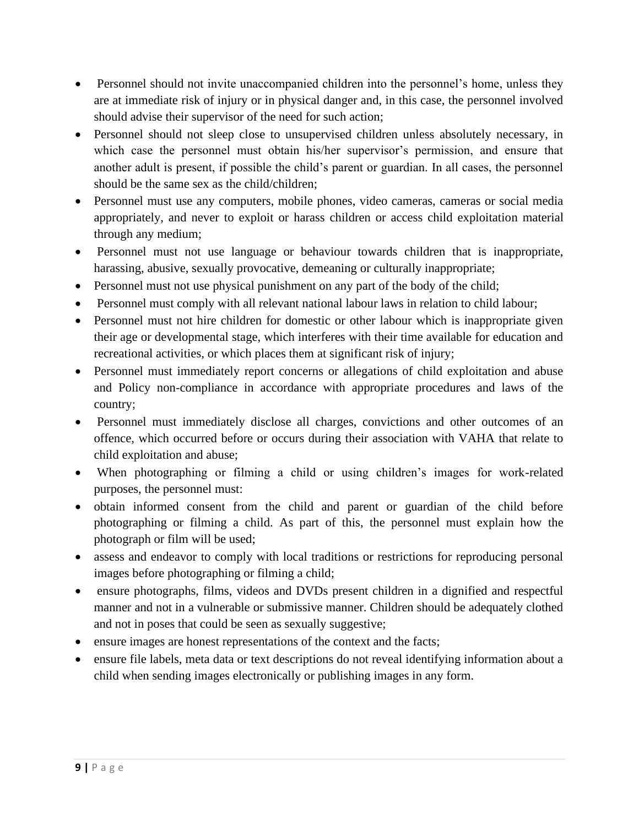- Personnel should not invite unaccompanied children into the personnel's home, unless they are at immediate risk of injury or in physical danger and, in this case, the personnel involved should advise their supervisor of the need for such action;
- Personnel should not sleep close to unsupervised children unless absolutely necessary, in which case the personnel must obtain his/her supervisor's permission, and ensure that another adult is present, if possible the child's parent or guardian. In all cases, the personnel should be the same sex as the child/children;
- Personnel must use any computers, mobile phones, video cameras, cameras or social media appropriately, and never to exploit or harass children or access child exploitation material through any medium;
- Personnel must not use language or behaviour towards children that is inappropriate, harassing, abusive, sexually provocative, demeaning or culturally inappropriate;
- Personnel must not use physical punishment on any part of the body of the child;
- Personnel must comply with all relevant national labour laws in relation to child labour;
- Personnel must not hire children for domestic or other labour which is inappropriate given their age or developmental stage, which interferes with their time available for education and recreational activities, or which places them at significant risk of injury;
- Personnel must immediately report concerns or allegations of child exploitation and abuse and Policy non-compliance in accordance with appropriate procedures and laws of the country;
- Personnel must immediately disclose all charges, convictions and other outcomes of an offence, which occurred before or occurs during their association with VAHA that relate to child exploitation and abuse;
- When photographing or filming a child or using children's images for work-related purposes, the personnel must:
- obtain informed consent from the child and parent or guardian of the child before photographing or filming a child. As part of this, the personnel must explain how the photograph or film will be used;
- assess and endeavor to comply with local traditions or restrictions for reproducing personal images before photographing or filming a child;
- ensure photographs, films, videos and DVDs present children in a dignified and respectful manner and not in a vulnerable or submissive manner. Children should be adequately clothed and not in poses that could be seen as sexually suggestive;
- ensure images are honest representations of the context and the facts;
- ensure file labels, meta data or text descriptions do not reveal identifying information about a child when sending images electronically or publishing images in any form.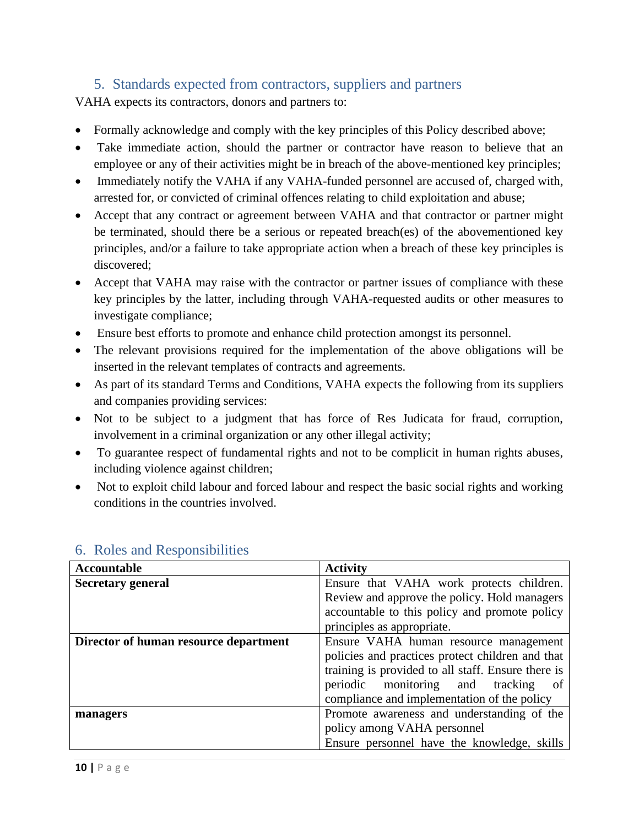# 5. Standards expected from contractors, suppliers and partners

<span id="page-9-0"></span>VAHA expects its contractors, donors and partners to:

- Formally acknowledge and comply with the key principles of this Policy described above;
- Take immediate action, should the partner or contractor have reason to believe that an employee or any of their activities might be in breach of the above-mentioned key principles;
- Immediately notify the VAHA if any VAHA-funded personnel are accused of, charged with, arrested for, or convicted of criminal offences relating to child exploitation and abuse;
- Accept that any contract or agreement between VAHA and that contractor or partner might be terminated, should there be a serious or repeated breach(es) of the abovementioned key principles, and/or a failure to take appropriate action when a breach of these key principles is discovered;
- Accept that VAHA may raise with the contractor or partner issues of compliance with these key principles by the latter, including through VAHA-requested audits or other measures to investigate compliance;
- Ensure best efforts to promote and enhance child protection amongst its personnel.
- The relevant provisions required for the implementation of the above obligations will be inserted in the relevant templates of contracts and agreements.
- As part of its standard Terms and Conditions, VAHA expects the following from its suppliers and companies providing services:
- Not to be subject to a judgment that has force of Res Judicata for fraud, corruption, involvement in a criminal organization or any other illegal activity;
- To guarantee respect of fundamental rights and not to be complicit in human rights abuses, including violence against children;
- Not to exploit child labour and forced labour and respect the basic social rights and working conditions in the countries involved.

| <b>Accountable</b>                    | <b>Activity</b>                                    |  |  |
|---------------------------------------|----------------------------------------------------|--|--|
| <b>Secretary general</b>              | Ensure that VAHA work protects children.           |  |  |
|                                       | Review and approve the policy. Hold managers       |  |  |
|                                       | accountable to this policy and promote policy      |  |  |
|                                       | principles as appropriate.                         |  |  |
| Director of human resource department | Ensure VAHA human resource management              |  |  |
|                                       | policies and practices protect children and that   |  |  |
|                                       | training is provided to all staff. Ensure there is |  |  |
|                                       | periodic monitoring and tracking<br><sub>of</sub>  |  |  |
|                                       | compliance and implementation of the policy        |  |  |
| managers                              | Promote awareness and understanding of the         |  |  |
|                                       | policy among VAHA personnel                        |  |  |
|                                       | Ensure personnel have the knowledge, skills        |  |  |

# <span id="page-9-1"></span>6. Roles and Responsibilities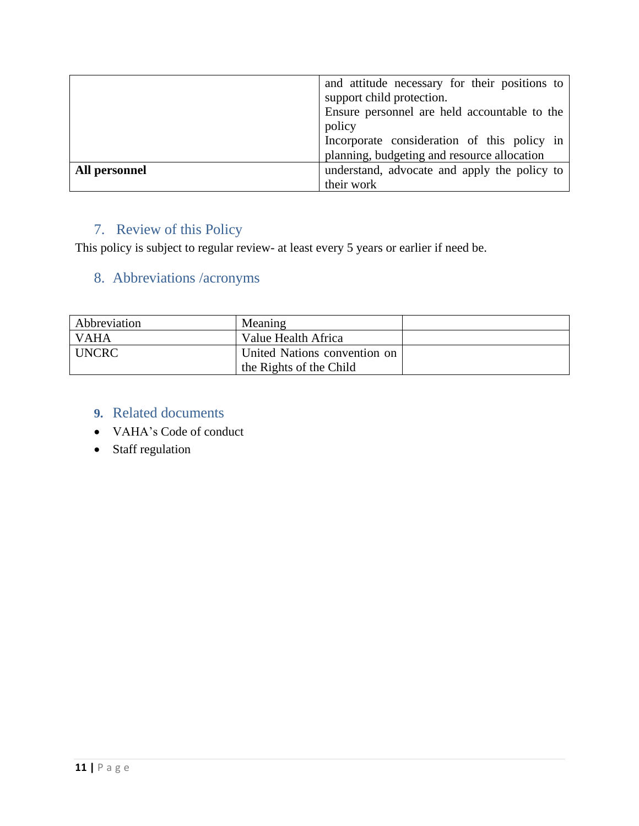| and attitude necessary for their positions to<br>support child protection.<br>Ensure personnel are held accountable to the<br>policy |                                                                                            |  |
|--------------------------------------------------------------------------------------------------------------------------------------|--------------------------------------------------------------------------------------------|--|
|                                                                                                                                      | Incorporate consideration of this policy in<br>planning, budgeting and resource allocation |  |
|                                                                                                                                      |                                                                                            |  |
| All personnel                                                                                                                        | understand, advocate and apply the policy to                                               |  |
|                                                                                                                                      | their work                                                                                 |  |

# <span id="page-10-0"></span>7. Review of this Policy

This policy is subject to regular review- at least every 5 years or earlier if need be.

# <span id="page-10-1"></span>8. Abbreviations /acronyms

| Abbreviation | Meaning                      |  |
|--------------|------------------------------|--|
| <b>VAHA</b>  | Value Health Africa          |  |
| <b>UNCRC</b> | United Nations convention on |  |
|              | the Rights of the Child      |  |

# <span id="page-10-2"></span>**9.** Related documents

- VAHA's Code of conduct
- Staff regulation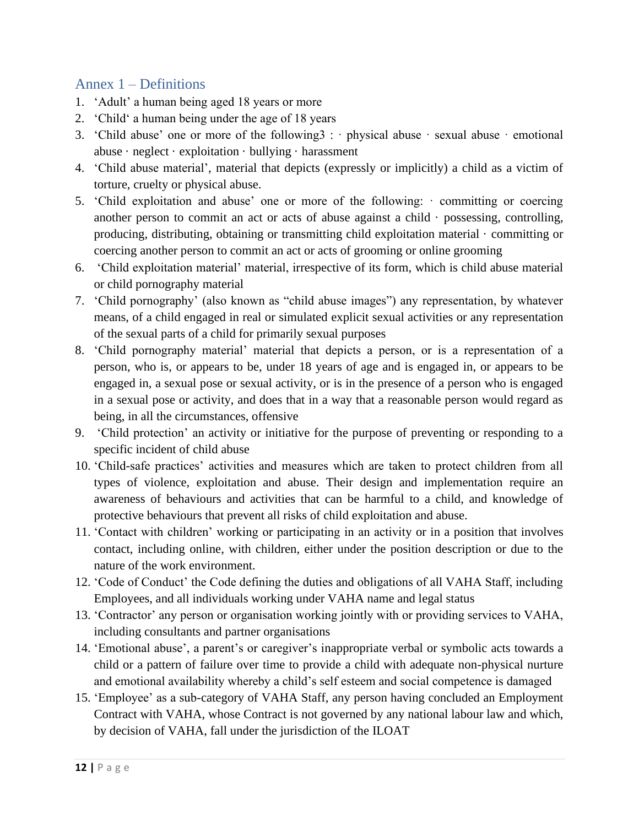# <span id="page-11-0"></span>Annex 1 – Definitions

- 1. 'Adult' a human being aged 18 years or more
- 2. 'Child' a human being under the age of 18 years
- 3. 'Child abuse' one or more of the following  $3 : \cdot$  physical abuse  $\cdot$  sexual abuse  $\cdot$  emotional abuse  $\cdot$  neglect  $\cdot$  exploitation  $\cdot$  bullying  $\cdot$  harassment
- 4. 'Child abuse material', material that depicts (expressly or implicitly) a child as a victim of torture, cruelty or physical abuse.
- 5. 'Child exploitation and abuse' one or more of the following: · committing or coercing another person to commit an act or acts of abuse against a child  $\cdot$  possessing, controlling, producing, distributing, obtaining or transmitting child exploitation material · committing or coercing another person to commit an act or acts of grooming or online grooming
- 6. 'Child exploitation material' material, irrespective of its form, which is child abuse material or child pornography material
- 7. 'Child pornography' (also known as "child abuse images") any representation, by whatever means, of a child engaged in real or simulated explicit sexual activities or any representation of the sexual parts of a child for primarily sexual purposes
- 8. 'Child pornography material' material that depicts a person, or is a representation of a person, who is, or appears to be, under 18 years of age and is engaged in, or appears to be engaged in, a sexual pose or sexual activity, or is in the presence of a person who is engaged in a sexual pose or activity, and does that in a way that a reasonable person would regard as being, in all the circumstances, offensive
- 9. 'Child protection' an activity or initiative for the purpose of preventing or responding to a specific incident of child abuse
- 10. 'Child-safe practices' activities and measures which are taken to protect children from all types of violence, exploitation and abuse. Their design and implementation require an awareness of behaviours and activities that can be harmful to a child, and knowledge of protective behaviours that prevent all risks of child exploitation and abuse.
- 11. 'Contact with children' working or participating in an activity or in a position that involves contact, including online, with children, either under the position description or due to the nature of the work environment.
- 12. 'Code of Conduct' the Code defining the duties and obligations of all VAHA Staff, including Employees, and all individuals working under VAHA name and legal status
- 13. 'Contractor' any person or organisation working jointly with or providing services to VAHA, including consultants and partner organisations
- 14. 'Emotional abuse', a parent's or caregiver's inappropriate verbal or symbolic acts towards a child or a pattern of failure over time to provide a child with adequate non-physical nurture and emotional availability whereby a child's self esteem and social competence is damaged
- 15. 'Employee' as a sub-category of VAHA Staff, any person having concluded an Employment Contract with VAHA, whose Contract is not governed by any national labour law and which, by decision of VAHA, fall under the jurisdiction of the ILOAT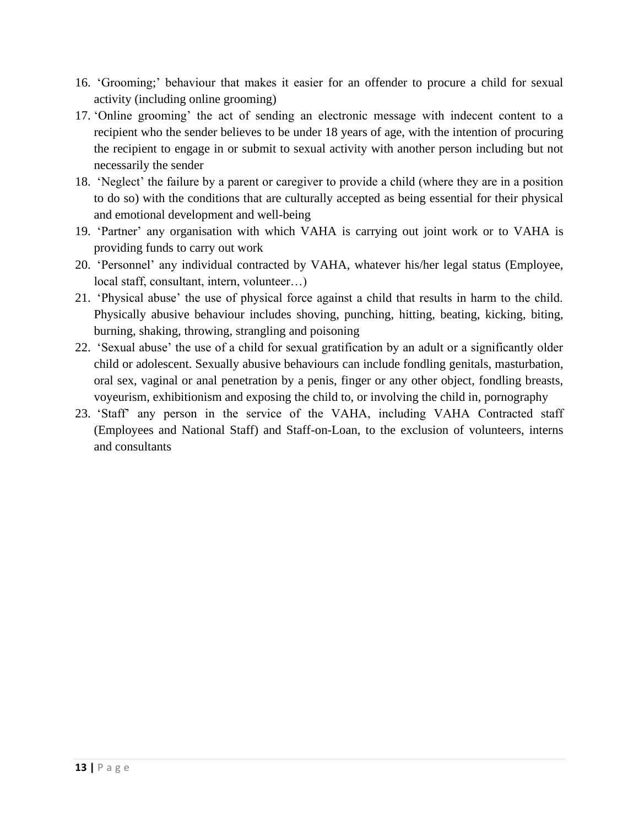- 16. 'Grooming;' behaviour that makes it easier for an offender to procure a child for sexual activity (including online grooming)
- 17. 'Online grooming' the act of sending an electronic message with indecent content to a recipient who the sender believes to be under 18 years of age, with the intention of procuring the recipient to engage in or submit to sexual activity with another person including but not necessarily the sender
- 18. 'Neglect' the failure by a parent or caregiver to provide a child (where they are in a position to do so) with the conditions that are culturally accepted as being essential for their physical and emotional development and well-being
- 19. 'Partner' any organisation with which VAHA is carrying out joint work or to VAHA is providing funds to carry out work
- 20. 'Personnel' any individual contracted by VAHA, whatever his/her legal status (Employee, local staff, consultant, intern, volunteer…)
- 21. 'Physical abuse' the use of physical force against a child that results in harm to the child. Physically abusive behaviour includes shoving, punching, hitting, beating, kicking, biting, burning, shaking, throwing, strangling and poisoning
- 22. 'Sexual abuse' the use of a child for sexual gratification by an adult or a significantly older child or adolescent. Sexually abusive behaviours can include fondling genitals, masturbation, oral sex, vaginal or anal penetration by a penis, finger or any other object, fondling breasts, voyeurism, exhibitionism and exposing the child to, or involving the child in, pornography
- 23. 'Staff' any person in the service of the VAHA, including VAHA Contracted staff (Employees and National Staff) and Staff-on-Loan, to the exclusion of volunteers, interns and consultants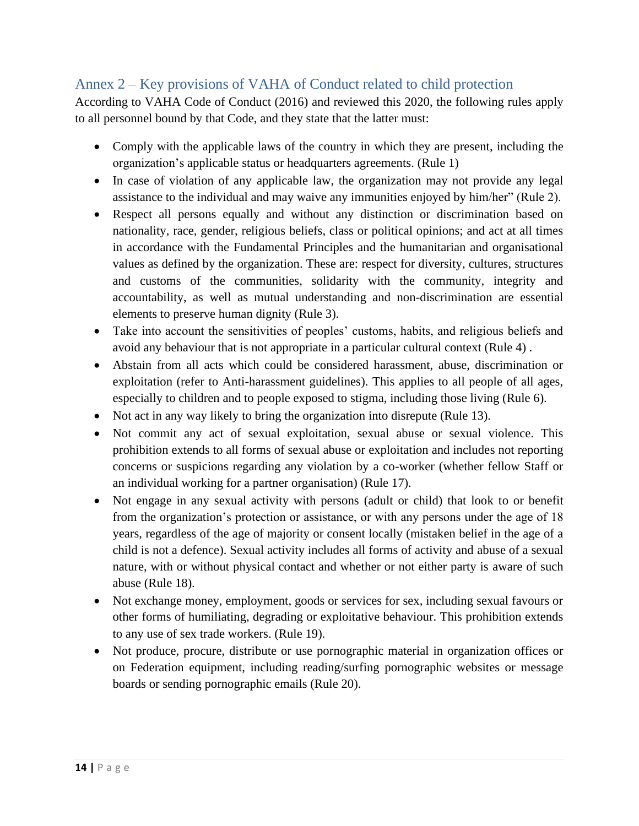# <span id="page-13-0"></span>Annex 2 – Key provisions of VAHA of Conduct related to child protection

According to VAHA Code of Conduct (2016) and reviewed this 2020, the following rules apply to all personnel bound by that Code, and they state that the latter must:

- Comply with the applicable laws of the country in which they are present, including the organization's applicable status or headquarters agreements. (Rule 1)
- In case of violation of any applicable law, the organization may not provide any legal assistance to the individual and may waive any immunities enjoyed by him/her" (Rule 2).
- Respect all persons equally and without any distinction or discrimination based on nationality, race, gender, religious beliefs, class or political opinions; and act at all times in accordance with the Fundamental Principles and the humanitarian and organisational values as defined by the organization. These are: respect for diversity, cultures, structures and customs of the communities, solidarity with the community, integrity and accountability, as well as mutual understanding and non-discrimination are essential elements to preserve human dignity (Rule 3).
- Take into account the sensitivities of peoples' customs, habits, and religious beliefs and avoid any behaviour that is not appropriate in a particular cultural context (Rule 4) .
- Abstain from all acts which could be considered harassment, abuse, discrimination or exploitation (refer to Anti-harassment guidelines). This applies to all people of all ages, especially to children and to people exposed to stigma, including those living (Rule 6).
- Not act in any way likely to bring the organization into disrepute (Rule 13).
- Not commit any act of sexual exploitation, sexual abuse or sexual violence. This prohibition extends to all forms of sexual abuse or exploitation and includes not reporting concerns or suspicions regarding any violation by a co-worker (whether fellow Staff or an individual working for a partner organisation) (Rule 17).
- Not engage in any sexual activity with persons (adult or child) that look to or benefit from the organization's protection or assistance, or with any persons under the age of 18 years, regardless of the age of majority or consent locally (mistaken belief in the age of a child is not a defence). Sexual activity includes all forms of activity and abuse of a sexual nature, with or without physical contact and whether or not either party is aware of such abuse (Rule 18).
- Not exchange money, employment, goods or services for sex, including sexual favours or other forms of humiliating, degrading or exploitative behaviour. This prohibition extends to any use of sex trade workers. (Rule 19).
- Not produce, procure, distribute or use pornographic material in organization offices or on Federation equipment, including reading/surfing pornographic websites or message boards or sending pornographic emails (Rule 20).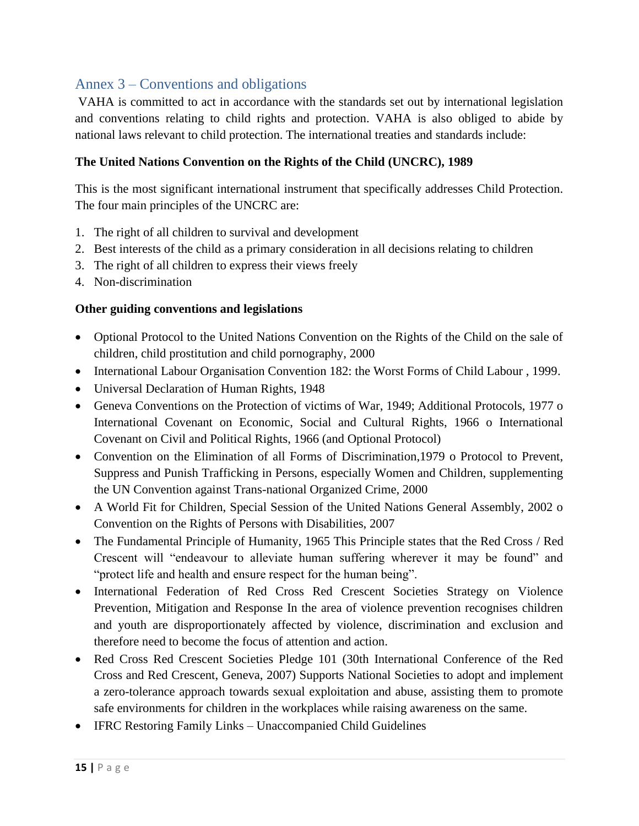# <span id="page-14-0"></span>Annex 3 – Conventions and obligations

VAHA is committed to act in accordance with the standards set out by international legislation and conventions relating to child rights and protection. VAHA is also obliged to abide by national laws relevant to child protection. The international treaties and standards include:

#### **The United Nations Convention on the Rights of the Child (UNCRC), 1989**

This is the most significant international instrument that specifically addresses Child Protection. The four main principles of the UNCRC are:

- 1. The right of all children to survival and development
- 2. Best interests of the child as a primary consideration in all decisions relating to children
- 3. The right of all children to express their views freely
- 4. Non-discrimination

#### **Other guiding conventions and legislations**

- Optional Protocol to the United Nations Convention on the Rights of the Child on the sale of children, child prostitution and child pornography, 2000
- International Labour Organisation Convention 182: the Worst Forms of Child Labour, 1999.
- Universal Declaration of Human Rights, 1948
- Geneva Conventions on the Protection of victims of War, 1949; Additional Protocols, 1977 o International Covenant on Economic, Social and Cultural Rights, 1966 o International Covenant on Civil and Political Rights, 1966 (and Optional Protocol)
- Convention on the Elimination of all Forms of Discrimination,1979 o Protocol to Prevent, Suppress and Punish Trafficking in Persons, especially Women and Children, supplementing the UN Convention against Trans-national Organized Crime, 2000
- A World Fit for Children, Special Session of the United Nations General Assembly, 2002 o Convention on the Rights of Persons with Disabilities, 2007
- The Fundamental Principle of Humanity, 1965 This Principle states that the Red Cross / Red Crescent will "endeavour to alleviate human suffering wherever it may be found" and "protect life and health and ensure respect for the human being".
- International Federation of Red Cross Red Crescent Societies Strategy on Violence Prevention, Mitigation and Response In the area of violence prevention recognises children and youth are disproportionately affected by violence, discrimination and exclusion and therefore need to become the focus of attention and action.
- Red Cross Red Crescent Societies Pledge 101 (30th International Conference of the Red Cross and Red Crescent, Geneva, 2007) Supports National Societies to adopt and implement a zero-tolerance approach towards sexual exploitation and abuse, assisting them to promote safe environments for children in the workplaces while raising awareness on the same.
- IFRC Restoring Family Links Unaccompanied Child Guidelines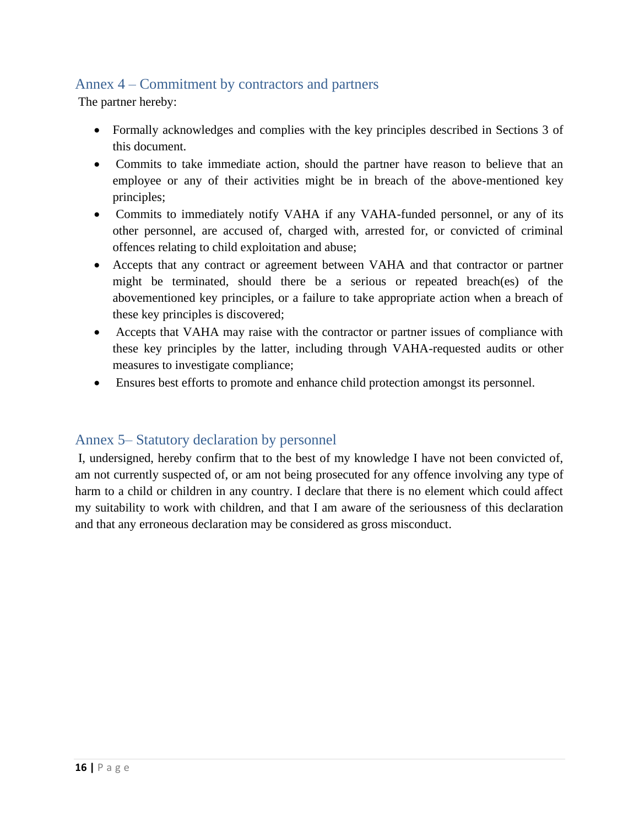# <span id="page-15-0"></span>Annex 4 – Commitment by contractors and partners

The partner hereby:

- Formally acknowledges and complies with the key principles described in Sections 3 of this document.
- Commits to take immediate action, should the partner have reason to believe that an employee or any of their activities might be in breach of the above-mentioned key principles;
- Commits to immediately notify VAHA if any VAHA-funded personnel, or any of its other personnel, are accused of, charged with, arrested for, or convicted of criminal offences relating to child exploitation and abuse;
- Accepts that any contract or agreement between VAHA and that contractor or partner might be terminated, should there be a serious or repeated breach(es) of the abovementioned key principles, or a failure to take appropriate action when a breach of these key principles is discovered;
- Accepts that VAHA may raise with the contractor or partner issues of compliance with these key principles by the latter, including through VAHA-requested audits or other measures to investigate compliance;
- Ensures best efforts to promote and enhance child protection amongst its personnel.

### <span id="page-15-1"></span>Annex 5– Statutory declaration by personnel

I, undersigned, hereby confirm that to the best of my knowledge I have not been convicted of, am not currently suspected of, or am not being prosecuted for any offence involving any type of harm to a child or children in any country. I declare that there is no element which could affect my suitability to work with children, and that I am aware of the seriousness of this declaration and that any erroneous declaration may be considered as gross misconduct.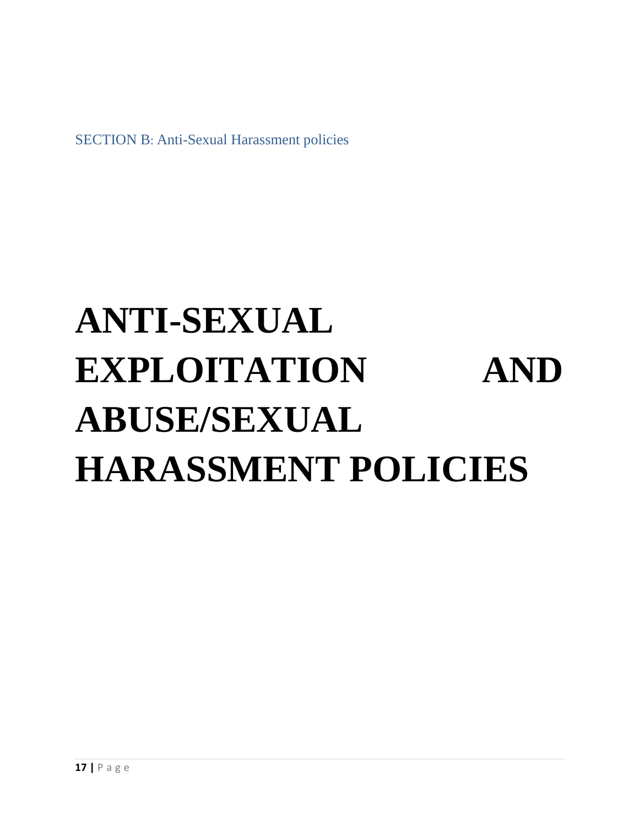<span id="page-16-0"></span>SECTION B: Anti-Sexual Harassment policies

# **ANTI-SEXUAL EXPLOITATION AND ABUSE/SEXUAL HARASSMENT POLICIES**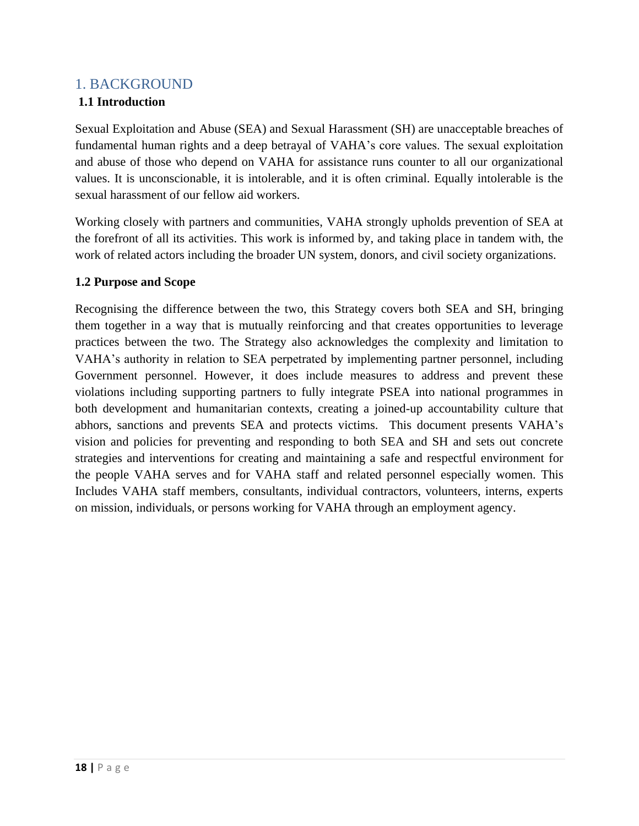# <span id="page-17-0"></span>1. BACKGROUND

### **1.1 Introduction**

Sexual Exploitation and Abuse (SEA) and Sexual Harassment (SH) are unacceptable breaches of fundamental human rights and a deep betrayal of VAHA's core values. The sexual exploitation and abuse of those who depend on VAHA for assistance runs counter to all our organizational values. It is unconscionable, it is intolerable, and it is often criminal. Equally intolerable is the sexual harassment of our fellow aid workers.

Working closely with partners and communities, VAHA strongly upholds prevention of SEA at the forefront of all its activities. This work is informed by, and taking place in tandem with, the work of related actors including the broader UN system, donors, and civil society organizations.

#### **1.2 Purpose and Scope**

Recognising the difference between the two, this Strategy covers both SEA and SH, bringing them together in a way that is mutually reinforcing and that creates opportunities to leverage practices between the two. The Strategy also acknowledges the complexity and limitation to VAHA's authority in relation to SEA perpetrated by implementing partner personnel, including Government personnel. However, it does include measures to address and prevent these violations including supporting partners to fully integrate PSEA into national programmes in both development and humanitarian contexts, creating a joined-up accountability culture that abhors, sanctions and prevents SEA and protects victims. This document presents VAHA's vision and policies for preventing and responding to both SEA and SH and sets out concrete strategies and interventions for creating and maintaining a safe and respectful environment for the people VAHA serves and for VAHA staff and related personnel especially women. This Includes VAHA staff members, consultants, individual contractors, volunteers, interns, experts on mission, individuals, or persons working for VAHA through an employment agency.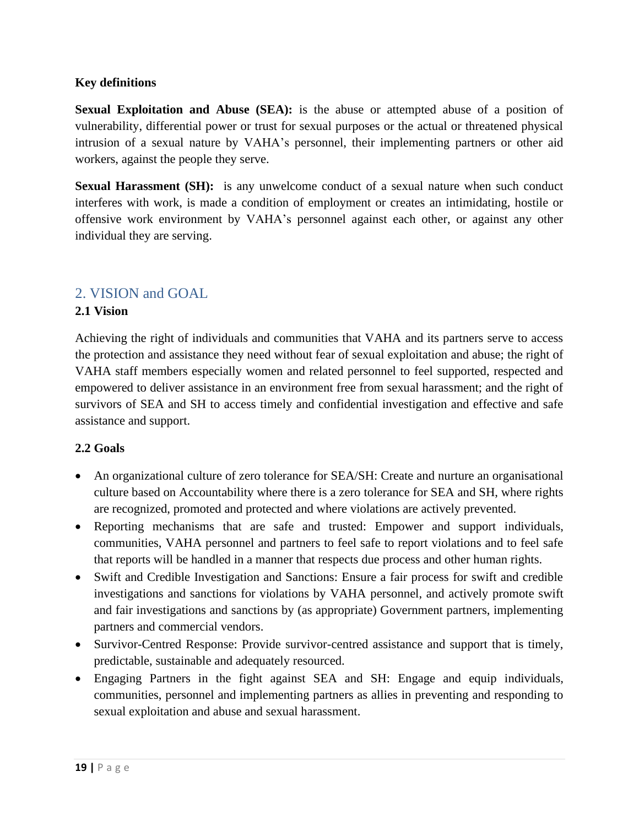#### **Key definitions**

**Sexual Exploitation and Abuse (SEA):** is the abuse or attempted abuse of a position of vulnerability, differential power or trust for sexual purposes or the actual or threatened physical intrusion of a sexual nature by VAHA's personnel, their implementing partners or other aid workers, against the people they serve.

**Sexual Harassment (SH):** is any unwelcome conduct of a sexual nature when such conduct interferes with work, is made a condition of employment or creates an intimidating, hostile or offensive work environment by VAHA's personnel against each other, or against any other individual they are serving.

# <span id="page-18-0"></span>2. VISION and GOAL

#### **2.1 Vision**

Achieving the right of individuals and communities that VAHA and its partners serve to access the protection and assistance they need without fear of sexual exploitation and abuse; the right of VAHA staff members especially women and related personnel to feel supported, respected and empowered to deliver assistance in an environment free from sexual harassment; and the right of survivors of SEA and SH to access timely and confidential investigation and effective and safe assistance and support.

#### **2.2 Goals**

- An organizational culture of zero tolerance for SEA/SH: Create and nurture an organisational culture based on Accountability where there is a zero tolerance for SEA and SH, where rights are recognized, promoted and protected and where violations are actively prevented.
- Reporting mechanisms that are safe and trusted: Empower and support individuals, communities, VAHA personnel and partners to feel safe to report violations and to feel safe that reports will be handled in a manner that respects due process and other human rights.
- Swift and Credible Investigation and Sanctions: Ensure a fair process for swift and credible investigations and sanctions for violations by VAHA personnel, and actively promote swift and fair investigations and sanctions by (as appropriate) Government partners, implementing partners and commercial vendors.
- Survivor-Centred Response: Provide survivor-centred assistance and support that is timely, predictable, sustainable and adequately resourced.
- Engaging Partners in the fight against SEA and SH: Engage and equip individuals, communities, personnel and implementing partners as allies in preventing and responding to sexual exploitation and abuse and sexual harassment.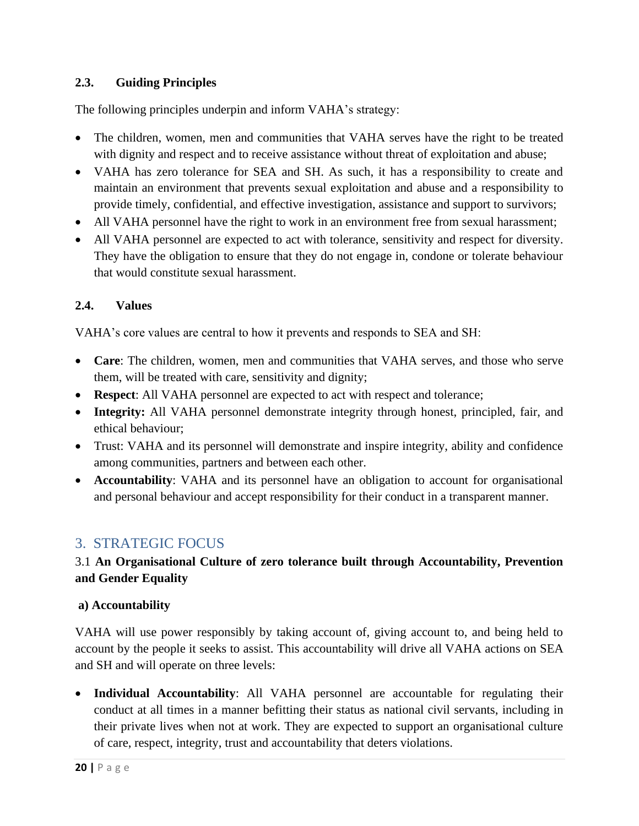#### **2.3. Guiding Principles**

The following principles underpin and inform VAHA's strategy:

- The children, women, men and communities that VAHA serves have the right to be treated with dignity and respect and to receive assistance without threat of exploitation and abuse;
- VAHA has zero tolerance for SEA and SH. As such, it has a responsibility to create and maintain an environment that prevents sexual exploitation and abuse and a responsibility to provide timely, confidential, and effective investigation, assistance and support to survivors;
- All VAHA personnel have the right to work in an environment free from sexual harassment;
- All VAHA personnel are expected to act with tolerance, sensitivity and respect for diversity. They have the obligation to ensure that they do not engage in, condone or tolerate behaviour that would constitute sexual harassment.

#### **2.4. Values**

VAHA's core values are central to how it prevents and responds to SEA and SH:

- **Care**: The children, women, men and communities that VAHA serves, and those who serve them, will be treated with care, sensitivity and dignity;
- **Respect**: All VAHA personnel are expected to act with respect and tolerance;
- **Integrity:** All VAHA personnel demonstrate integrity through honest, principled, fair, and ethical behaviour;
- Trust: VAHA and its personnel will demonstrate and inspire integrity, ability and confidence among communities, partners and between each other.
- **Accountability**: VAHA and its personnel have an obligation to account for organisational and personal behaviour and accept responsibility for their conduct in a transparent manner.

# <span id="page-19-0"></span>3. STRATEGIC FOCUS

# 3.1 **An Organisational Culture of zero tolerance built through Accountability, Prevention and Gender Equality**

#### **a) Accountability**

VAHA will use power responsibly by taking account of, giving account to, and being held to account by the people it seeks to assist. This accountability will drive all VAHA actions on SEA and SH and will operate on three levels:

• **Individual Accountability**: All VAHA personnel are accountable for regulating their conduct at all times in a manner befitting their status as national civil servants, including in their private lives when not at work. They are expected to support an organisational culture of care, respect, integrity, trust and accountability that deters violations.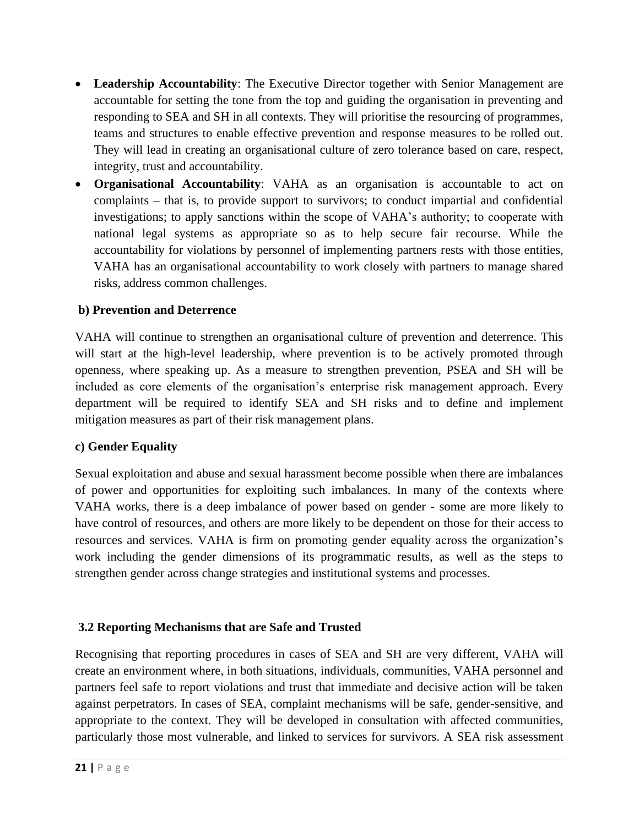- **Leadership Accountability**: The Executive Director together with Senior Management are accountable for setting the tone from the top and guiding the organisation in preventing and responding to SEA and SH in all contexts. They will prioritise the resourcing of programmes, teams and structures to enable effective prevention and response measures to be rolled out. They will lead in creating an organisational culture of zero tolerance based on care, respect, integrity, trust and accountability.
- **Organisational Accountability**: VAHA as an organisation is accountable to act on complaints – that is, to provide support to survivors; to conduct impartial and confidential investigations; to apply sanctions within the scope of VAHA's authority; to cooperate with national legal systems as appropriate so as to help secure fair recourse. While the accountability for violations by personnel of implementing partners rests with those entities, VAHA has an organisational accountability to work closely with partners to manage shared risks, address common challenges.

#### **b) Prevention and Deterrence**

VAHA will continue to strengthen an organisational culture of prevention and deterrence. This will start at the high-level leadership, where prevention is to be actively promoted through openness, where speaking up. As a measure to strengthen prevention, PSEA and SH will be included as core elements of the organisation's enterprise risk management approach. Every department will be required to identify SEA and SH risks and to define and implement mitigation measures as part of their risk management plans.

#### **c) Gender Equality**

Sexual exploitation and abuse and sexual harassment become possible when there are imbalances of power and opportunities for exploiting such imbalances. In many of the contexts where VAHA works, there is a deep imbalance of power based on gender - some are more likely to have control of resources, and others are more likely to be dependent on those for their access to resources and services. VAHA is firm on promoting gender equality across the organization's work including the gender dimensions of its programmatic results, as well as the steps to strengthen gender across change strategies and institutional systems and processes.

#### **3.2 Reporting Mechanisms that are Safe and Trusted**

Recognising that reporting procedures in cases of SEA and SH are very different, VAHA will create an environment where, in both situations, individuals, communities, VAHA personnel and partners feel safe to report violations and trust that immediate and decisive action will be taken against perpetrators. In cases of SEA, complaint mechanisms will be safe, gender-sensitive, and appropriate to the context. They will be developed in consultation with affected communities, particularly those most vulnerable, and linked to services for survivors. A SEA risk assessment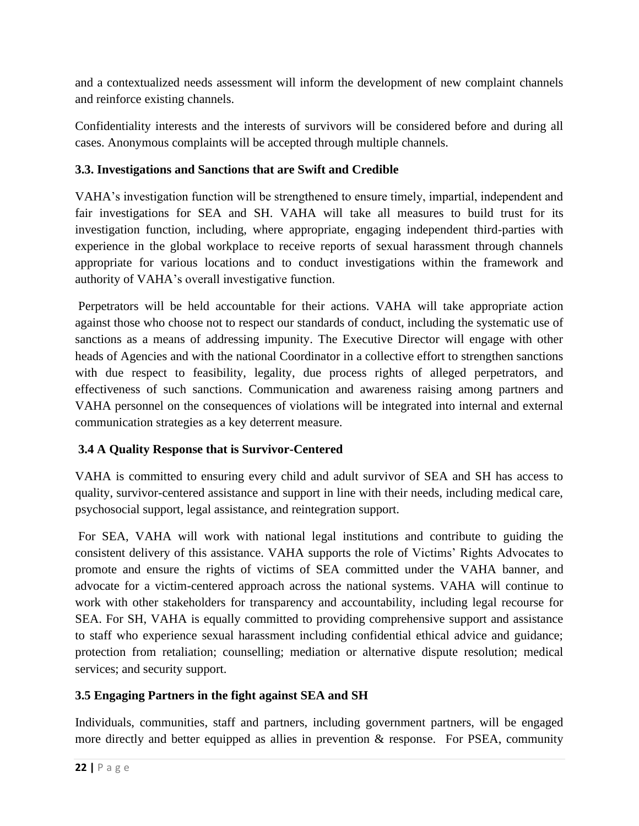and a contextualized needs assessment will inform the development of new complaint channels and reinforce existing channels.

Confidentiality interests and the interests of survivors will be considered before and during all cases. Anonymous complaints will be accepted through multiple channels.

# **3.3. Investigations and Sanctions that are Swift and Credible**

VAHA's investigation function will be strengthened to ensure timely, impartial, independent and fair investigations for SEA and SH. VAHA will take all measures to build trust for its investigation function, including, where appropriate, engaging independent third-parties with experience in the global workplace to receive reports of sexual harassment through channels appropriate for various locations and to conduct investigations within the framework and authority of VAHA's overall investigative function.

Perpetrators will be held accountable for their actions. VAHA will take appropriate action against those who choose not to respect our standards of conduct, including the systematic use of sanctions as a means of addressing impunity. The Executive Director will engage with other heads of Agencies and with the national Coordinator in a collective effort to strengthen sanctions with due respect to feasibility, legality, due process rights of alleged perpetrators, and effectiveness of such sanctions. Communication and awareness raising among partners and VAHA personnel on the consequences of violations will be integrated into internal and external communication strategies as a key deterrent measure.

# **3.4 A Quality Response that is Survivor-Centered**

VAHA is committed to ensuring every child and adult survivor of SEA and SH has access to quality, survivor-centered assistance and support in line with their needs, including medical care, psychosocial support, legal assistance, and reintegration support.

For SEA, VAHA will work with national legal institutions and contribute to guiding the consistent delivery of this assistance. VAHA supports the role of Victims' Rights Advocates to promote and ensure the rights of victims of SEA committed under the VAHA banner, and advocate for a victim-centered approach across the national systems. VAHA will continue to work with other stakeholders for transparency and accountability, including legal recourse for SEA. For SH, VAHA is equally committed to providing comprehensive support and assistance to staff who experience sexual harassment including confidential ethical advice and guidance; protection from retaliation; counselling; mediation or alternative dispute resolution; medical services; and security support.

### **3.5 Engaging Partners in the fight against SEA and SH**

Individuals, communities, staff and partners, including government partners, will be engaged more directly and better equipped as allies in prevention & response. For PSEA, community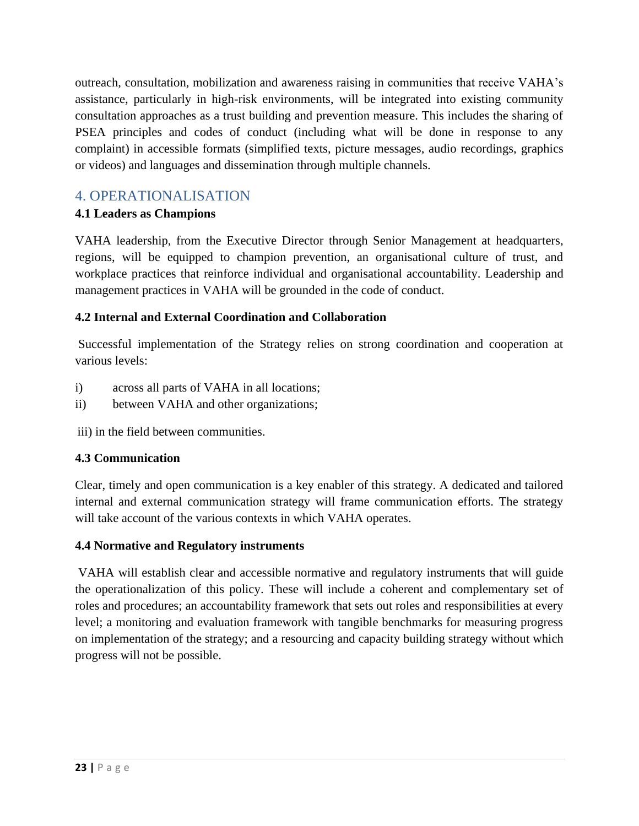outreach, consultation, mobilization and awareness raising in communities that receive VAHA's assistance, particularly in high-risk environments, will be integrated into existing community consultation approaches as a trust building and prevention measure. This includes the sharing of PSEA principles and codes of conduct (including what will be done in response to any complaint) in accessible formats (simplified texts, picture messages, audio recordings, graphics or videos) and languages and dissemination through multiple channels.

# <span id="page-22-0"></span>4. OPERATIONALISATION

### **4.1 Leaders as Champions**

VAHA leadership, from the Executive Director through Senior Management at headquarters, regions, will be equipped to champion prevention, an organisational culture of trust, and workplace practices that reinforce individual and organisational accountability. Leadership and management practices in VAHA will be grounded in the code of conduct.

# **4.2 Internal and External Coordination and Collaboration**

Successful implementation of the Strategy relies on strong coordination and cooperation at various levels:

- i) across all parts of VAHA in all locations;
- ii) between VAHA and other organizations;

iii) in the field between communities.

### **4.3 Communication**

Clear, timely and open communication is a key enabler of this strategy. A dedicated and tailored internal and external communication strategy will frame communication efforts. The strategy will take account of the various contexts in which VAHA operates.

### **4.4 Normative and Regulatory instruments**

VAHA will establish clear and accessible normative and regulatory instruments that will guide the operationalization of this policy. These will include a coherent and complementary set of roles and procedures; an accountability framework that sets out roles and responsibilities at every level; a monitoring and evaluation framework with tangible benchmarks for measuring progress on implementation of the strategy; and a resourcing and capacity building strategy without which progress will not be possible.